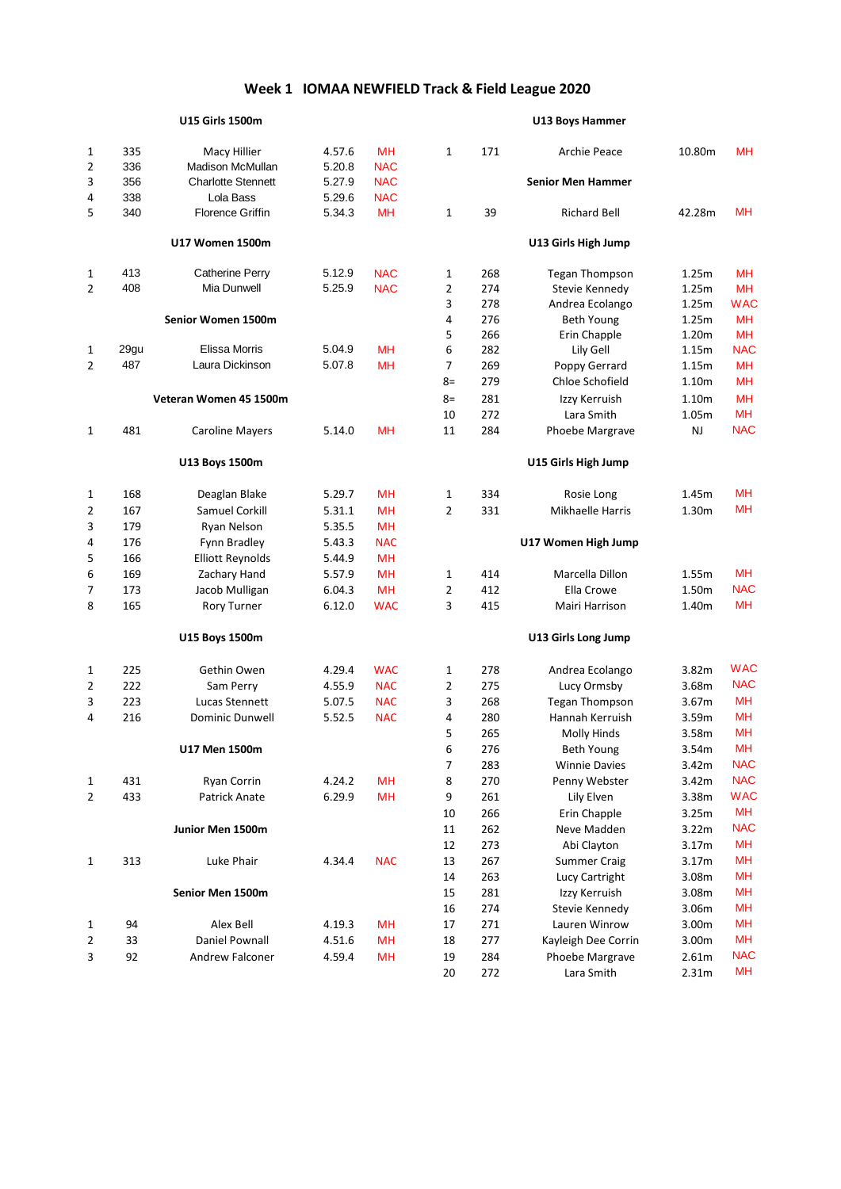|                |      | <b>U15 Girls 1500m</b>    |        |            |              |     | U13 Boys Hammer          |           |            |
|----------------|------|---------------------------|--------|------------|--------------|-----|--------------------------|-----------|------------|
| 1              | 335  | Macy Hillier              | 4.57.6 | <b>MH</b>  | $\mathbf{1}$ | 171 | <b>Archie Peace</b>      | 10.80m    | <b>MH</b>  |
| $\overline{2}$ | 336  | Madison McMullan          | 5.20.8 | <b>NAC</b> |              |     |                          |           |            |
| 3              | 356  | <b>Charlotte Stennett</b> | 5.27.9 | <b>NAC</b> |              |     | <b>Senior Men Hammer</b> |           |            |
| 4              | 338  | Lola Bass                 | 5.29.6 | <b>NAC</b> |              |     |                          |           |            |
| 5              | 340  | <b>Florence Griffin</b>   | 5.34.3 | MН         | 1            | 39  | <b>Richard Bell</b>      | 42.28m    | <b>MH</b>  |
|                |      | <b>U17 Women 1500m</b>    |        |            |              |     | U13 Girls High Jump      |           |            |
| 1              | 413  | <b>Catherine Perry</b>    | 5.12.9 | <b>NAC</b> | 1            | 268 | <b>Tegan Thompson</b>    | 1.25m     | <b>MH</b>  |
| $\overline{2}$ | 408  | Mia Dunwell               | 5.25.9 | <b>NAC</b> | 2            | 274 | Stevie Kennedy           | 1.25m     | MH         |
|                |      |                           |        |            | 3            | 278 | Andrea Ecolango          | 1.25m     | <b>WAC</b> |
|                |      | Senior Women 1500m        |        |            | 4            | 276 | Beth Young               | 1.25m     | <b>MH</b>  |
|                |      |                           |        |            | 5            | 266 | Erin Chapple             | 1.20m     | <b>MH</b>  |
| 1              | 29gu | Elissa Morris             | 5.04.9 | <b>MH</b>  | 6            | 282 | Lily Gell                | 1.15m     | <b>NAC</b> |
| $\overline{2}$ | 487  | Laura Dickinson           | 5.07.8 | <b>MH</b>  | 7            | 269 | Poppy Gerrard            | 1.15m     | <b>MH</b>  |
|                |      |                           |        |            | $8=$         | 279 | Chloe Schofield          | 1.10m     | <b>MH</b>  |
|                |      | Veteran Women 45 1500m    |        |            | $8=$         | 281 | Izzy Kerruish            | 1.10m     | <b>MH</b>  |
|                |      |                           |        |            | 10           | 272 | Lara Smith               | 1.05m     | <b>MH</b>  |
| $\mathbf{1}$   | 481  | <b>Caroline Mayers</b>    | 5.14.0 | <b>MH</b>  | 11           | 284 | Phoebe Margrave          | <b>NJ</b> | <b>NAC</b> |
|                |      | U13 Boys 1500m            |        |            |              |     | U15 Girls High Jump      |           |            |
| 1              | 168  | Deaglan Blake             | 5.29.7 | <b>MH</b>  | $\mathbf{1}$ | 334 | Rosie Long               | 1.45m     | MH         |
| 2              | 167  | Samuel Corkill            | 5.31.1 | <b>MH</b>  | 2            | 331 | Mikhaelle Harris         | 1.30m     | MН         |
| 3              | 179  | Ryan Nelson               | 5.35.5 | MH         |              |     |                          |           |            |
| 4              | 176  | Fynn Bradley              | 5.43.3 | <b>NAC</b> |              |     | U17 Women High Jump      |           |            |
| 5              | 166  | <b>Elliott Reynolds</b>   | 5.44.9 | <b>MH</b>  |              |     |                          |           |            |
| 6              | 169  | Zachary Hand              | 5.57.9 | MH         | 1            | 414 | Marcella Dillon          | 1.55m     | <b>MH</b>  |
| 7              | 173  | Jacob Mulligan            | 6.04.3 | <b>MH</b>  | 2            | 412 | Ella Crowe               | 1.50m     | <b>NAC</b> |
| 8              | 165  | <b>Rory Turner</b>        | 6.12.0 | <b>WAC</b> | 3            | 415 | Mairi Harrison           | 1.40m     | <b>MH</b>  |
|                |      | U15 Boys 1500m            |        |            |              |     | U13 Girls Long Jump      |           |            |
| 1              | 225  | Gethin Owen               | 4.29.4 | <b>WAC</b> | 1            | 278 | Andrea Ecolango          | 3.82m     | <b>WAC</b> |
| $\overline{2}$ | 222  | Sam Perry                 | 4.55.9 | <b>NAC</b> | 2            | 275 | Lucy Ormsby              | 3.68m     | <b>NAC</b> |
| 3              | 223  | Lucas Stennett            | 5.07.5 | <b>NAC</b> | 3            | 268 | <b>Tegan Thompson</b>    | 3.67m     | <b>MH</b>  |
| 4              | 216  | <b>Dominic Dunwell</b>    | 5.52.5 | <b>NAC</b> | 4            | 280 | Hannah Kerruish          | 3.59m     | MH         |
|                |      |                           |        |            | 5            | 265 | <b>Molly Hinds</b>       | 3.58m     | <b>MH</b>  |
|                |      | U17 Men 1500m             |        |            | 6            | 276 | Beth Young               | 3.54m     | MН         |
|                |      |                           |        |            | 7            | 283 | <b>Winnie Davies</b>     | 3.42m     | <b>NAC</b> |
| 1              | 431  | Ryan Corrin               | 4.24.2 | MH         | 8            | 270 | Penny Webster            | 3.42m     | <b>NAC</b> |
| $\overline{2}$ | 433  | Patrick Anate             | 6.29.9 | MH         | 9            | 261 | Lily Elven               | 3.38m     | <b>WAC</b> |
|                |      |                           |        |            | 10           | 266 | Erin Chapple             | 3.25m     | MH         |
|                |      | Junior Men 1500m          |        |            | 11           | 262 | Neve Madden              | 3.22m     | <b>NAC</b> |
|                |      |                           |        |            | 12           | 273 | Abi Clayton              | 3.17m     | <b>MH</b>  |
| $\mathbf{1}$   | 313  | Luke Phair                | 4.34.4 | <b>NAC</b> | 13           | 267 | <b>Summer Craig</b>      | 3.17m     | <b>MH</b>  |
|                |      |                           |        |            | 14           | 263 | Lucy Cartright           | 3.08m     | <b>MH</b>  |
|                |      | Senior Men 1500m          |        |            | 15           | 281 | Izzy Kerruish            | 3.08m     | <b>MH</b>  |
|                |      |                           |        |            | 16           | 274 | Stevie Kennedy           | 3.06m     | <b>MH</b>  |
| 1              | 94   | Alex Bell                 | 4.19.3 | <b>MH</b>  | 17           | 271 | Lauren Winrow            | 3.00m     | <b>MH</b>  |
| 2              | 33   | Daniel Pownall            | 4.51.6 | MH         | 18           | 277 | Kayleigh Dee Corrin      | 3.00m     | <b>MH</b>  |
| 3              | 92   | Andrew Falconer           | 4.59.4 | MH         | 19           | 284 | Phoebe Margrave          | 2.61m     | <b>NAC</b> |
|                |      |                           |        |            | 20           | 272 | Lara Smith               | 2.31m     | MH         |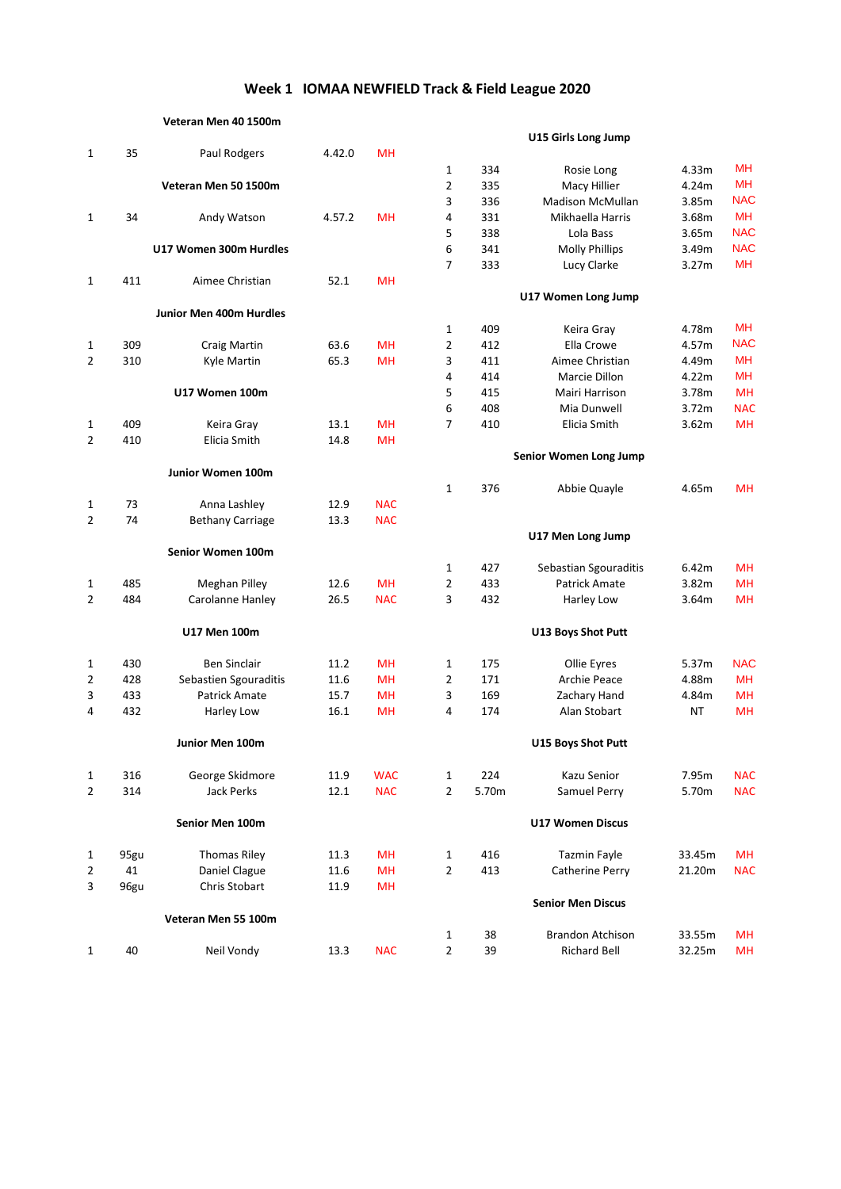#### **Veteran Men 40 1500m**

|                |      |                         |        |            |                     |            | <sub>5</sub>                  |        |            |
|----------------|------|-------------------------|--------|------------|---------------------|------------|-------------------------------|--------|------------|
| $\mathbf{1}$   | 35   | Paul Rodgers            | 4.42.0 | <b>MH</b>  |                     |            |                               |        | MH         |
|                |      |                         |        |            | $\mathbf{1}$        | 334        | Rosie Long                    | 4.33m  | <b>MH</b>  |
|                |      | Veteran Men 50 1500m    |        |            | $\overline{2}$      | 335        | Macy Hillier                  | 4.24m  | <b>NAC</b> |
|                | 34   |                         |        | <b>MH</b>  | 3<br>$\overline{4}$ | 336        | <b>Madison McMullan</b>       | 3.85m  | <b>MH</b>  |
| $\mathbf{1}$   |      | Andy Watson             | 4.57.2 |            | 5                   | 331<br>338 | Mikhaella Harris<br>Lola Bass | 3.68m  | <b>NAC</b> |
|                |      | U17 Women 300m Hurdles  |        |            | 6                   | 341        |                               | 3.65m  | <b>NAC</b> |
|                |      |                         |        |            | $\overline{7}$      | 333        | <b>Molly Phillips</b>         | 3.49m  | <b>MH</b>  |
| $\mathbf 1$    | 411  | Aimee Christian         | 52.1   | <b>MH</b>  |                     |            | Lucy Clarke                   | 3.27m  |            |
|                |      |                         |        |            |                     |            | U17 Women Long Jump           |        |            |
|                |      | Junior Men 400m Hurdles |        |            |                     |            |                               |        |            |
|                |      |                         |        |            | $\mathbf{1}$        | 409        | Keira Gray                    | 4.78m  | <b>MH</b>  |
| 1              | 309  | <b>Craig Martin</b>     | 63.6   | <b>MH</b>  | $\overline{2}$      | 412        | Ella Crowe                    | 4.57m  | <b>NAC</b> |
| $\overline{2}$ | 310  | Kyle Martin             | 65.3   | <b>MH</b>  | 3                   | 411        | Aimee Christian               | 4.49m  | <b>MH</b>  |
|                |      |                         |        |            | 4                   | 414        | Marcie Dillon                 | 4.22m  | <b>MH</b>  |
|                |      | U17 Women 100m          |        |            | 5                   | 415        | Mairi Harrison                | 3.78m  | <b>MH</b>  |
|                |      |                         |        |            | 6                   | 408        | Mia Dunwell                   | 3.72m  | <b>NAC</b> |
| 1              | 409  | Keira Gray              | 13.1   | MH         | 7                   | 410        | Elicia Smith                  | 3.62m  | <b>MH</b>  |
| 2              | 410  | Elicia Smith            | 14.8   | <b>MH</b>  |                     |            |                               |        |            |
|                |      |                         |        |            |                     |            | Senior Women Long Jump        |        |            |
|                |      | Junior Women 100m       |        |            |                     |            |                               |        |            |
|                |      |                         |        |            | $\mathbf{1}$        | 376        | Abbie Quayle                  | 4.65m  | <b>MH</b>  |
| $\mathbf 1$    | 73   | Anna Lashley            | 12.9   | <b>NAC</b> |                     |            |                               |        |            |
| $\overline{2}$ | 74   | <b>Bethany Carriage</b> | 13.3   | <b>NAC</b> |                     |            |                               |        |            |
|                |      |                         |        |            |                     |            | U17 Men Long Jump             |        |            |
|                |      | Senior Women 100m       |        |            |                     |            |                               |        |            |
|                |      |                         |        |            | $\mathbf{1}$        | 427        | Sebastian Sgouraditis         | 6.42m  | MH         |
| $\mathbf 1$    | 485  | <b>Meghan Pilley</b>    | 12.6   | <b>MH</b>  | $\overline{2}$      | 433        | <b>Patrick Amate</b>          | 3.82m  | MH         |
| 2              | 484  | Carolanne Hanley        | 26.5   | <b>NAC</b> | 3                   | 432        | Harley Low                    | 3.64m  | <b>MH</b>  |
|                |      | U17 Men 100m            |        |            |                     |            | <b>U13 Boys Shot Putt</b>     |        |            |
| 1              | 430  | <b>Ben Sinclair</b>     | 11.2   | <b>MH</b>  | $\mathbf{1}$        | 175        | Ollie Eyres                   | 5.37m  | <b>NAC</b> |
| 2              | 428  | Sebastien Sgouraditis   | 11.6   | <b>MH</b>  | $\overline{2}$      | 171        | Archie Peace                  | 4.88m  | <b>MH</b>  |
| 3              | 433  | Patrick Amate           | 15.7   | <b>MH</b>  | 3                   | 169        | Zachary Hand                  | 4.84m  | <b>MH</b>  |
| 4              | 432  | Harley Low              | 16.1   | MH         | 4                   | 174        | Alan Stobart                  | NT     | <b>MH</b>  |
|                |      |                         |        |            |                     |            |                               |        |            |
|                |      | Junior Men 100m         |        |            |                     |            | U15 Boys Shot Putt            |        |            |
| 1              | 316  | George Skidmore         | 11.9   | <b>WAC</b> |                     | 224        | Kazu Senior                   | 7.95m  | <b>NAC</b> |
| $\overline{2}$ | 314  | Jack Perks              | 12.1   | <b>NAC</b> | 2                   | 5.70m      | Samuel Perry                  | 5.70m  | <b>NAC</b> |
|                |      | Senior Men 100m         |        |            |                     |            | <b>U17 Women Discus</b>       |        |            |
| 1              | 95gu | <b>Thomas Riley</b>     | 11.3   | <b>MH</b>  | 1                   | 416        | Tazmin Fayle                  | 33.45m | MH         |
| 2              | 41   | Daniel Clague           | 11.6   | <b>MH</b>  | 2                   | 413        | Catherine Perry               | 21.20m | <b>NAC</b> |
| 3              | 96gu | Chris Stobart           | 11.9   | <b>MH</b>  |                     |            |                               |        |            |
|                |      |                         |        |            |                     |            | <b>Senior Men Discus</b>      |        |            |
|                |      | Veteran Men 55 100m     |        |            |                     |            |                               |        |            |
|                |      |                         |        |            | 1                   | 38         | <b>Brandon Atchison</b>       | 33.55m | <b>MH</b>  |
| 1              | 40   | Neil Vondy              | 13.3   | <b>NAC</b> | $\overline{2}$      | 39         | <b>Richard Bell</b>           | 32.25m | <b>MH</b>  |

# **U15 Girls Long Jump**

| 1              | 334   | Rosie Long               | 4.33m     | MН         |
|----------------|-------|--------------------------|-----------|------------|
| $\overline{2}$ | 335   | Macy Hillier             | 4.24m     | MН         |
| 3              | 336   | Madison McMullan         | 3.85m     | <b>NAC</b> |
| 4              | 331   | Mikhaella Harris         | 3.68m     | MН         |
| 5              | 338   | Lola Bass                | 3.65m     | <b>NAC</b> |
| 6              | 341   | <b>Molly Phillips</b>    | 3.49m     | <b>NAC</b> |
| 7              | 333   | Lucy Clarke              | 3.27m     | <b>MH</b>  |
|                |       | U17 Women Long Jump      |           |            |
| 1              | 409   | Keira Gray               | 4.78m     | MН         |
| 2              | 412   | Ella Crowe               | 4.57m     | <b>NAC</b> |
| 3              | 411   | Aimee Christian          | 4.49m     | MН         |
| 4              | 414   | Marcie Dillon            | 4.22m     | MН         |
| 5              | 415   | Mairi Harrison           | 3.78m     | <b>MH</b>  |
| 6              | 408   | Mia Dunwell              | 3.72m     | <b>NAC</b> |
| 7              | 410   | Elicia Smith             | 3.62m     | <b>MH</b>  |
|                |       | Senior Women Long Jump   |           |            |
| 1              | 376   | Abbie Quayle             | 4.65m     | <b>MH</b>  |
|                |       | U17 Men Long Jump        |           |            |
| 1              | 427   | Sebastian Sgouraditis    | 6.42m     | <b>MH</b>  |
| 2              | 433   | <b>Patrick Amate</b>     | 3.82m     | MН         |
| 3              | 432   | Harley Low               | 3.64m     | <b>MH</b>  |
|                |       | U13 Boys Shot Putt       |           |            |
| 1              | 175   | Ollie Eyres              | 5.37m     | <b>NAC</b> |
| 2              | 171   | <b>Archie Peace</b>      | 4.88m     | MН         |
| 3              | 169   | Zachary Hand             | 4.84m     | <b>MH</b>  |
| 4              | 174   | Alan Stobart             | <b>NT</b> | <b>MH</b>  |
|                |       | U15 Boys Shot Putt       |           |            |
| 1              | 224   | Kazu Senior              | 7.95m     | <b>NAC</b> |
| 2              | 5.70m | Samuel Perry             | 5.70m     | <b>NAC</b> |
|                |       | <b>U17 Women Discus</b>  |           |            |
| 1              | 416   | <b>Tazmin Fayle</b>      | 33.45m    | <b>MH</b>  |
| 2              | 413   | Catherine Perry          | 21.20m    | <b>NAC</b> |
|                |       | <b>Senior Men Discus</b> |           |            |
| 1              | 38    | Brandon Atchison         | 33.55m    | MН         |
|                |       |                          |           |            |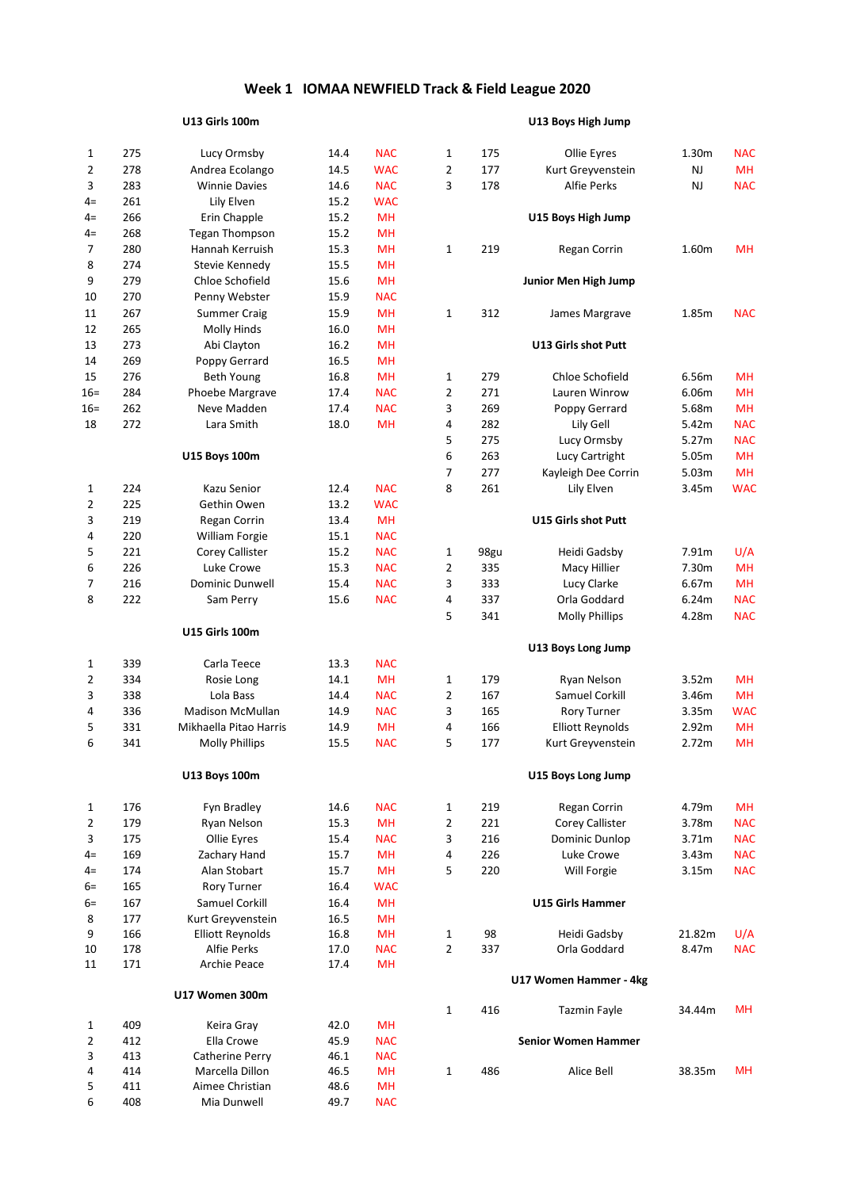## **U13 Girls 100m U13 Boys High Jump**

| 1              | 275        | Lucy Ormsby                        | 14.4         | <b>NAC</b>      | 1              | 175  | Ollie Eyres                | 1.30m     | <b>NAC</b> |
|----------------|------------|------------------------------------|--------------|-----------------|----------------|------|----------------------------|-----------|------------|
| $\overline{2}$ | 278        | Andrea Ecolango                    | 14.5         | <b>WAC</b>      | $\overline{2}$ | 177  | Kurt Greyvenstein          | <b>NJ</b> | <b>MH</b>  |
| 3              | 283        | <b>Winnie Davies</b>               | 14.6         | <b>NAC</b>      | 3              | 178  | Alfie Perks                | <b>NJ</b> | <b>NAC</b> |
| $4=$           | 261        | Lily Elven                         | 15.2         | <b>WAC</b>      |                |      |                            |           |            |
| $4=$           | 266        | Erin Chapple                       | 15.2         | MH              |                |      | U15 Boys High Jump         |           |            |
| $4=$           | 268        | <b>Tegan Thompson</b>              | 15.2         | <b>MH</b>       |                |      |                            |           |            |
| 7              | 280        | Hannah Kerruish                    | 15.3         | <b>MH</b>       | 1              | 219  | Regan Corrin               | 1.60m     | <b>MH</b>  |
| 8              | 274        | Stevie Kennedy                     | 15.5         | <b>MH</b>       |                |      |                            |           |            |
| 9              | 279        | Chloe Schofield                    | 15.6         | MH              |                |      | Junior Men High Jump       |           |            |
| 10             | 270        | Penny Webster                      | 15.9         | <b>NAC</b>      |                |      |                            |           |            |
| 11             | 267        | <b>Summer Craig</b>                | 15.9         | <b>MH</b>       | 1              | 312  | James Margrave             | 1.85m     | <b>NAC</b> |
| 12             | 265        | Molly Hinds                        | 16.0         | MH              |                |      |                            |           |            |
| 13             | 273        | Abi Clayton                        | 16.2         | <b>MH</b>       |                |      | U13 Girls shot Putt        |           |            |
| 14             | 269        | Poppy Gerrard                      | 16.5         | MН              |                |      |                            |           |            |
| 15             | 276        | <b>Beth Young</b>                  | 16.8         | MH              | 1              | 279  | Chloe Schofield            | 6.56m     | MH         |
| 16=            | 284        | Phoebe Margrave                    | 17.4         | <b>NAC</b>      | 2              | 271  | Lauren Winrow              | 6.06m     | MH         |
| 16=            | 262        | Neve Madden                        | 17.4         | <b>NAC</b>      | 3              | 269  | Poppy Gerrard              | 5.68m     | MH         |
| 18             | 272        | Lara Smith                         | 18.0         | <b>MH</b>       | 4              | 282  | Lily Gell                  | 5.42m     | <b>NAC</b> |
|                |            |                                    |              |                 | 5              | 275  | Lucy Ormsby                | 5.27m     | <b>NAC</b> |
|                |            | <b>U15 Boys 100m</b>               |              |                 | 6              | 263  | Lucy Cartright             | 5.05m     | <b>MH</b>  |
|                |            |                                    |              |                 | 7              | 277  | Kayleigh Dee Corrin        | 5.03m     | MH         |
|                | 224        | Kazu Senior                        | 12.4         | <b>NAC</b>      | 8              | 261  | Lily Elven                 |           |            |
| 1              | 225        |                                    |              |                 |                |      |                            | 3.45m     | <b>WAC</b> |
| $\overline{2}$ |            | Gethin Owen                        | 13.2         | <b>WAC</b>      |                |      |                            |           |            |
| 3              | 219<br>220 | Regan Corrin                       | 13.4         | <b>MH</b>       |                |      | U15 Girls shot Putt        |           |            |
| 4              |            | William Forgie                     | 15.1         | <b>NAC</b>      |                |      |                            |           |            |
| 5              | 221        | Corey Callister                    | 15.2         | <b>NAC</b>      | 1              | 98gu | Heidi Gadsby               | 7.91m     | U/A        |
| 6              | 226        | Luke Crowe                         | 15.3         | <b>NAC</b>      | 2              | 335  | Macy Hillier               | 7.30m     | MH         |
| 7              | 216        | <b>Dominic Dunwell</b>             | 15.4         | <b>NAC</b>      | 3              | 333  | Lucy Clarke                | 6.67m     | <b>MH</b>  |
| 8              | 222        | Sam Perry                          | 15.6         | <b>NAC</b>      | 4              | 337  | Orla Goddard               | 6.24m     | <b>NAC</b> |
|                |            |                                    |              |                 | 5              | 341  | <b>Molly Phillips</b>      | 4.28m     | <b>NAC</b> |
|                |            | <b>U15 Girls 100m</b>              |              |                 |                |      | U13 Boys Long Jump         |           |            |
| 1              | 339        | Carla Teece                        | 13.3         | <b>NAC</b>      |                |      |                            |           |            |
| 2              | 334        | Rosie Long                         | 14.1         | <b>MH</b>       | 1              | 179  | Ryan Nelson                | 3.52m     | MH         |
| 3              | 338        | Lola Bass                          | 14.4         | <b>NAC</b>      | 2              | 167  | Samuel Corkill             | 3.46m     | MH         |
| 4              | 336        | <b>Madison McMullan</b>            | 14.9         | <b>NAC</b>      | 3              | 165  | <b>Rory Turner</b>         | 3.35m     | <b>WAC</b> |
| 5              | 331        | Mikhaella Pitao Harris             | 14.9         | MН              | 4              | 166  | <b>Elliott Reynolds</b>    | 2.92m     | MH         |
| 6              | 341        | <b>Molly Phillips</b>              | 15.5         | <b>NAC</b>      | 5              | 177  | Kurt Greyvenstein          | 2.72m     | MH         |
|                |            |                                    |              |                 |                |      |                            |           |            |
|                |            | U13 Boys 100m                      |              |                 |                |      | U15 Boys Long Jump         |           |            |
| $\mathbf{1}$   | 176        | Fyn Bradley                        | 14.6         | <b>NAC</b>      | $\mathbf{1}$   | 219  | Regan Corrin               | 4.79m     | <b>MH</b>  |
| $\overline{2}$ | 179        | Ryan Nelson                        | 15.3         | <b>MH</b>       | $\overline{2}$ | 221  | Corey Callister            | 3.78m     | <b>NAC</b> |
| 3              | 175        | Ollie Eyres                        | 15.4         | <b>NAC</b>      | 3              | 216  | Dominic Dunlop             | 3.71m     | <b>NAC</b> |
| $4=$           | 169        | Zachary Hand                       | 15.7         | <b>MH</b>       | 4              | 226  | Luke Crowe                 | 3.43m     | <b>NAC</b> |
| $4=$           | 174        | Alan Stobart                       | 15.7         | <b>MH</b>       | 5              | 220  | Will Forgie                | 3.15m     | <b>NAC</b> |
| $6=$           | 165        | Rory Turner                        | 16.4         | <b>WAC</b>      |                |      |                            |           |            |
| $6=$           | 167        | Samuel Corkill                     | 16.4         | <b>MH</b>       |                |      | <b>U15 Girls Hammer</b>    |           |            |
| 8              | 177        | Kurt Greyvenstein                  | 16.5         | <b>MH</b>       |                |      |                            |           |            |
| 9              | 166        | <b>Elliott Reynolds</b>            | 16.8         | <b>MH</b>       | $\mathbf{1}$   | 98   | Heidi Gadsby               | 21.82m    | U/A        |
| 10             | 178        | Alfie Perks                        | 17.0         | <b>NAC</b>      | $\overline{2}$ | 337  | Orla Goddard               | 8.47m     | <b>NAC</b> |
| 11             | 171        | Archie Peace                       | 17.4         | <b>MH</b>       |                |      |                            |           |            |
|                |            |                                    |              |                 |                |      | U17 Women Hammer - 4kg     |           |            |
|                |            | U17 Women 300m                     |              |                 |                |      |                            |           |            |
|                |            |                                    |              |                 | $\mathbf{1}$   | 416  | Tazmin Fayle               | 34.44m    | MН         |
| 1              | 409        | Keira Gray                         | 42.0         | <b>MH</b>       |                |      |                            |           |            |
| 2              | 412        | Ella Crowe                         | 45.9         | <b>NAC</b>      |                |      | <b>Senior Women Hammer</b> |           |            |
| 3              | 413        | Catherine Perry                    | 46.1         | <b>NAC</b>      |                |      |                            |           | <b>MH</b>  |
| 4              | 414<br>411 | Marcella Dillon<br>Aimee Christian | 46.5<br>48.6 | MH<br><b>MH</b> | $\mathbf{1}$   | 486  | Alice Bell                 | 38.35m    |            |
| 5<br>6         | 408        | Mia Dunwell                        | 49.7         | <b>NAC</b>      |                |      |                            |           |            |
|                |            |                                    |              |                 |                |      |                            |           |            |